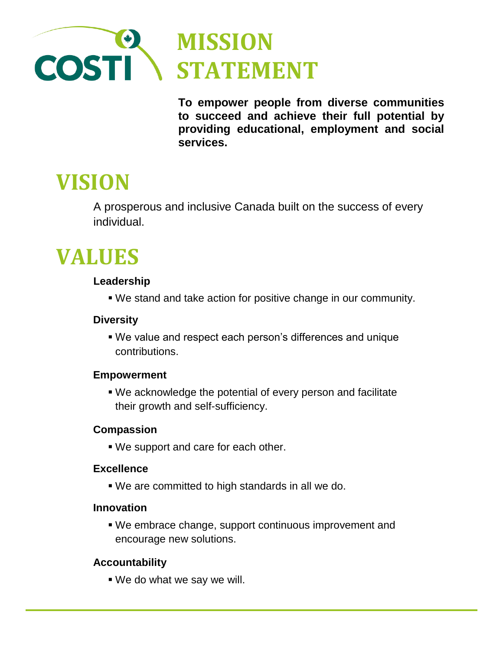

**To empower people from diverse communities to succeed and achieve their full potential by providing educational, employment and social services.**

# **VISION**

A prosperous and inclusive Canada built on the success of every individual.

# **VALUES**

# **Leadership**

We stand and take action for positive change in our community.

## **Diversity**

 We value and respect each person's differences and unique contributions.

# **Empowerment**

 We acknowledge the potential of every person and facilitate their growth and self-sufficiency.

### **Compassion**

We support and care for each other.

# **Excellence**

We are committed to high standards in all we do.

# **Innovation**

 We embrace change, support continuous improvement and encourage new solutions.

# **Accountability**

We do what we say we will.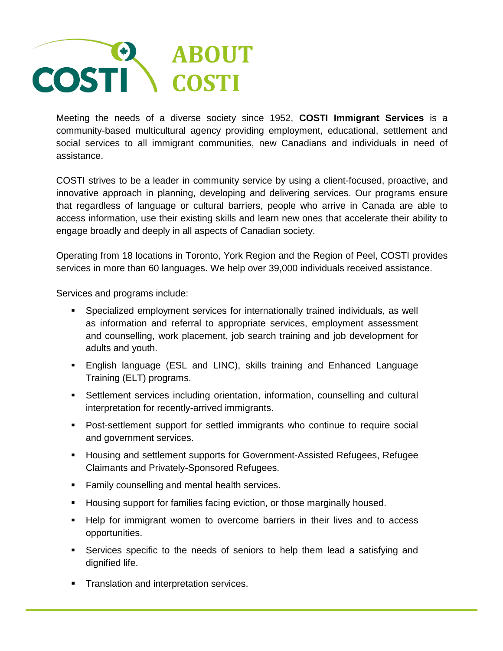

Meeting the needs of a diverse society since 1952, **COSTI Immigrant Services** is a community-based multicultural agency providing employment, educational, settlement and social services to all immigrant communities, new Canadians and individuals in need of assistance.

COSTI strives to be a leader in community service by using a client-focused, proactive, and innovative approach in planning, developing and delivering services. Our programs ensure that regardless of language or cultural barriers, people who arrive in Canada are able to access information, use their existing skills and learn new ones that accelerate their ability to engage broadly and deeply in all aspects of Canadian society.

Operating from 18 locations in Toronto, York Region and the Region of Peel, COSTI provides services in more than 60 languages. We help over 39,000 individuals received assistance.

Services and programs include:

- Specialized employment services for internationally trained individuals, as well as information and referral to appropriate services, employment assessment and counselling, work placement, job search training and job development for adults and youth.
- English language (ESL and LINC), skills training and Enhanced Language Training (ELT) programs.
- Settlement services including orientation, information, counselling and cultural interpretation for recently-arrived immigrants.
- Post-settlement support for settled immigrants who continue to require social and government services.
- **Housing and settlement supports for Government-Assisted Refugees, Refugee** Claimants and Privately-Sponsored Refugees.
- **Family counselling and mental health services.**
- Housing support for families facing eviction, or those marginally housed.
- **Help for immigrant women to overcome barriers in their lives and to access** opportunities.
- Services specific to the needs of seniors to help them lead a satisfying and dignified life.
- **Translation and interpretation services.**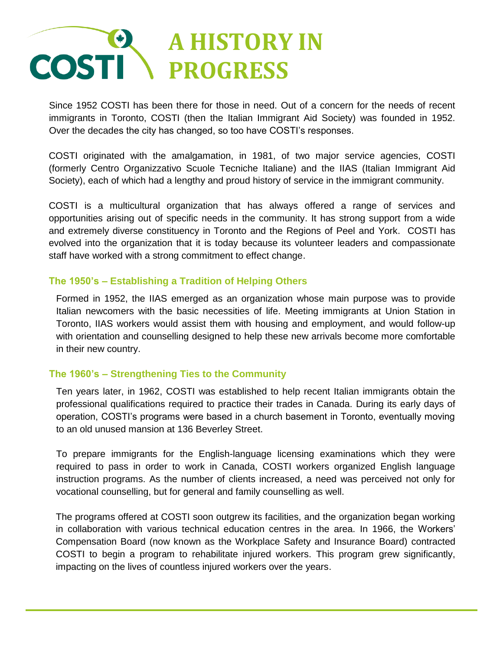# **A HISTORY IN COSTI PROGRESS**

Since 1952 COSTI has been there for those in need. Out of a concern for the needs of recent immigrants in Toronto, COSTI (then the Italian Immigrant Aid Society) was founded in 1952. Over the decades the city has changed, so too have COSTI's responses.

COSTI originated with the amalgamation, in 1981, of two major service agencies, COSTI (formerly Centro Organizzativo Scuole Tecniche Italiane) and the IIAS (Italian Immigrant Aid Society), each of which had a lengthy and proud history of service in the immigrant community.

COSTI is a multicultural organization that has always offered a range of services and opportunities arising out of specific needs in the community. It has strong support from a wide and extremely diverse constituency in Toronto and the Regions of Peel and York. COSTI has evolved into the organization that it is today because its volunteer leaders and compassionate staff have worked with a strong commitment to effect change.

### **The 1950's – Establishing a Tradition of Helping Others**

Formed in 1952, the IIAS emerged as an organization whose main purpose was to provide Italian newcomers with the basic necessities of life. Meeting immigrants at Union Station in Toronto, IIAS workers would assist them with housing and employment, and would follow-up with orientation and counselling designed to help these new arrivals become more comfortable in their new country.

### **The 1960's – Strengthening Ties to the Community**

Ten years later, in 1962, COSTI was established to help recent Italian immigrants obtain the professional qualifications required to practice their trades in Canada. During its early days of operation, COSTI's programs were based in a church basement in Toronto, eventually moving to an old unused mansion at 136 Beverley Street.

To prepare immigrants for the English-language licensing examinations which they were required to pass in order to work in Canada, COSTI workers organized English language instruction programs. As the number of clients increased, a need was perceived not only for vocational counselling, but for general and family counselling as well.

The programs offered at COSTI soon outgrew its facilities, and the organization began working in collaboration with various technical education centres in the area. In 1966, the Workers' Compensation Board (now known as the Workplace Safety and Insurance Board) contracted COSTI to begin a program to rehabilitate injured workers. This program grew significantly, impacting on the lives of countless injured workers over the years.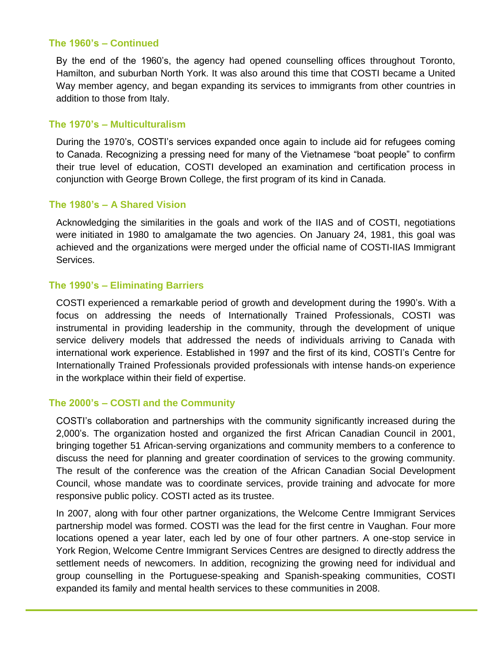#### **The 1960's – Continued**

By the end of the 1960's, the agency had opened counselling offices throughout Toronto, Hamilton, and suburban North York. It was also around this time that COSTI became a United Way member agency, and began expanding its services to immigrants from other countries in addition to those from Italy.

#### **The 1970's – Multiculturalism**

During the 1970's, COSTI's services expanded once again to include aid for refugees coming to Canada. Recognizing a pressing need for many of the Vietnamese "boat people" to confirm their true level of education, COSTI developed an examination and certification process in conjunction with George Brown College, the first program of its kind in Canada.

#### **The 1980's – A Shared Vision**

Acknowledging the similarities in the goals and work of the IIAS and of COSTI, negotiations were initiated in 1980 to amalgamate the two agencies. On January 24, 1981, this goal was achieved and the organizations were merged under the official name of COSTI-IIAS Immigrant Services.

#### **The 1990's – Eliminating Barriers**

COSTI experienced a remarkable period of growth and development during the 1990's. With a focus on addressing the needs of Internationally Trained Professionals, COSTI was instrumental in providing leadership in the community, through the development of unique service delivery models that addressed the needs of individuals arriving to Canada with international work experience. Established in 1997 and the first of its kind, COSTI's Centre for Internationally Trained Professionals provided professionals with intense hands-on experience in the workplace within their field of expertise.

#### **The 2000's – COSTI and the Community**

COSTI's collaboration and partnerships with the community significantly increased during the 2,000's. The organization hosted and organized the first African Canadian Council in 2001, bringing together 51 African-serving organizations and community members to a conference to discuss the need for planning and greater coordination of services to the growing community. The result of the conference was the creation of the African Canadian Social Development Council, whose mandate was to coordinate services, provide training and advocate for more responsive public policy. COSTI acted as its trustee.

In 2007, along with four other partner organizations, the Welcome Centre Immigrant Services partnership model was formed. COSTI was the lead for the first centre in Vaughan. Four more locations opened a year later, each led by one of four other partners. A one-stop service in York Region, Welcome Centre Immigrant Services Centres are designed to directly address the settlement needs of newcomers. In addition, recognizing the growing need for individual and group counselling in the Portuguese-speaking and Spanish-speaking communities, COSTI expanded its family and mental health services to these communities in 2008.